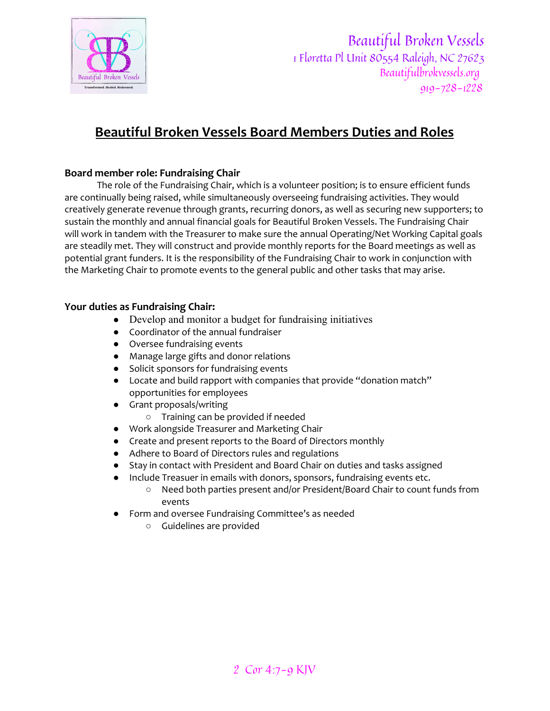

Beautiful Broken Vessels 1 Floretta Pl Unit 80554 Raleigh, NC 27623 Beautifulbrokvessels.org 919-728-1228

# **Beautiful Broken Vessels Board Members Duties and Roles**

## **Board member role: Fundraising Chair**

The role of the Fundraising Chair, which is a volunteer position; is to ensure efficient funds are continually being raised, while simultaneously overseeing fundraising activities. They would creatively generate revenue through grants, recurring donors, as well as securing new supporters; to sustain the monthly and annual financial goals for Beautiful Broken Vessels. The Fundraising Chair will work in tandem with the Treasurer to make sure the annual Operating/Net Working Capital goals are steadily met. They will construct and provide monthly reports for the Board meetings as well as potential grant funders. It is the responsibility of the Fundraising Chair to work in conjunction with the Marketing Chair to promote events to the general public and other tasks that may arise.

#### **Your duties as Fundraising Chair:**

- Develop and monitor a budget for fundraising initiatives
- Coordinator of the annual fundraiser
- Oversee fundraising events
- Manage large gifts and donor relations
- Solicit sponsors for fundraising events
- Locate and build rapport with companies that provide "donation match" opportunities for employees
- Grant proposals/writing
	- Training can be provided if needed
- Work alongside Treasurer and Marketing Chair
- Create and present reports to the Board of Directors monthly
- Adhere to Board of Directors rules and regulations
- Stay in contact with President and Board Chair on duties and tasks assigned
- Include Treasuer in emails with donors, sponsors, fundraising events etc.
	- Need both parties present and/or President/Board Chair to count funds from events
- Form and oversee Fundraising Committee's as needed
	- Guidelines are provided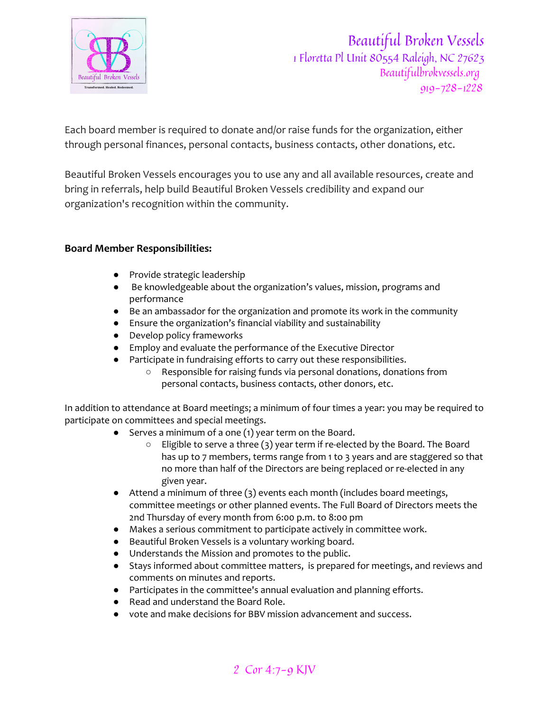

Each board member is required to donate and/or raise funds for the organization, either through personal finances, personal contacts, business contacts, other donations, etc.

Beautiful Broken Vessels encourages you to use any and all available resources, create and bring in referrals, help build Beautiful Broken Vessels credibility and expand our organization's recognition within the community.

### **Board Member Responsibilities:**

- Provide strategic leadership
- Be knowledgeable about the organization's values, mission, programs and performance
- Be an ambassador for the organization and promote its work in the community
- Ensure the organization's financial viability and sustainability
- Develop policy frameworks
- Employ and evaluate the performance of the Executive Director
- Participate in fundraising efforts to carry out these responsibilities.
	- Responsible for raising funds via personal donations, donations from personal contacts, business contacts, other donors, etc.

In addition to attendance at Board meetings; a minimum of four times a year: you may be required to participate on committees and special meetings.

- Serves a minimum of a one (1) year term on the Board.
	- Eligible to serve a three (3) year term if re-elected by the Board. The Board has up to 7 members, terms range from 1 to 3 years and are staggered so that no more than half of the Directors are being replaced or re-elected in any given year.
- Attend a minimum of three (3) events each month (includes board meetings, committee meetings or other planned events. The Full Board of Directors meets the 2nd Thursday of every month from 6:00 p.m. to 8:00 pm
- Makes a serious commitment to participate actively in committee work.
- Beautiful Broken Vessels is a voluntary working board.
- Understands the Mission and promotes to the public.
- Stays informed about committee matters, is prepared for meetings, and reviews and comments on minutes and reports.
- Participates in the committee's annual evaluation and planning efforts.
- Read and understand the Board Role.
- vote and make decisions for BBV mission advancement and success.